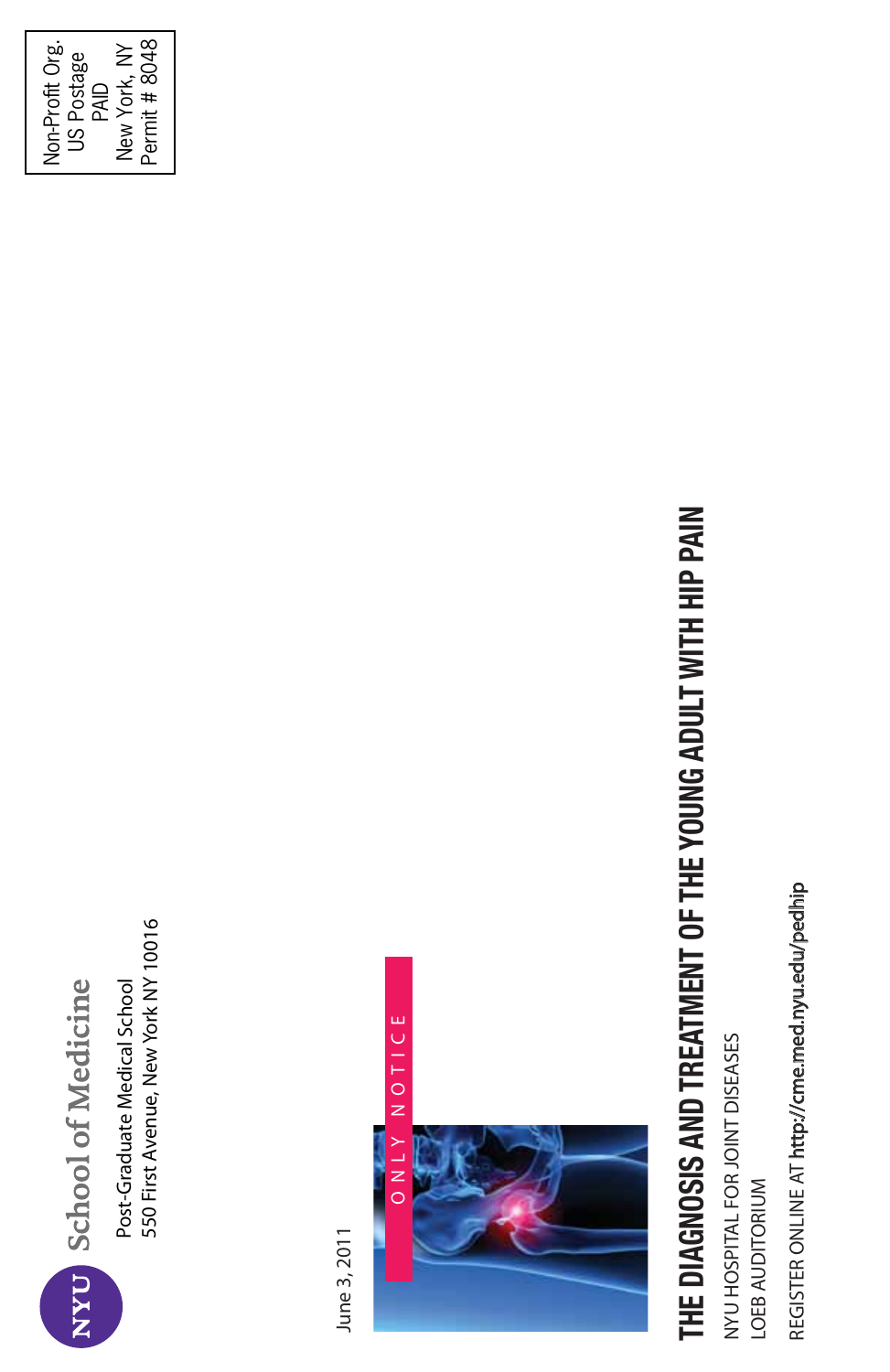| ù      |  |
|--------|--|
| ė<br>Ÿ |  |

# of Medicine

550 First Avenue, New York NY 10016 550 First Avenue, New York NY 10016 Post-Graduate Medical School Post-Graduate Medical School

June 3, 2011 June 3, 2011



# **THE DIAGNOSIS AND TREATMENT OF THE YOUNG ADULT WITH HIP PAIN**

NYU HOSPITAL FOR JOINT DISEASES LOEB AUDITORIUM LOEB AUDITORIUM

REGISTER ONLINE AT http://cme.med.nyu.edu/pedhip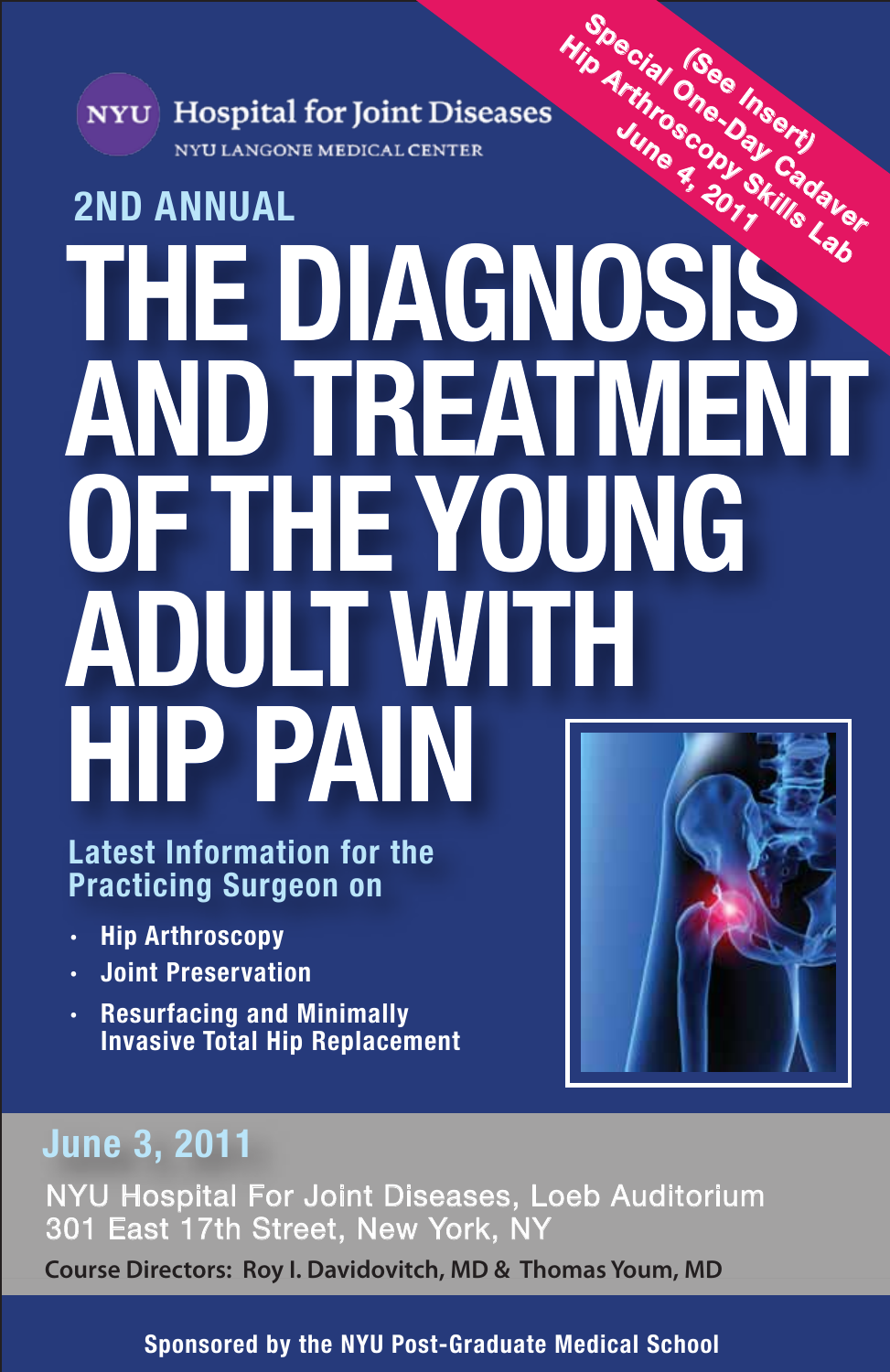# **Special (See Insert)**<br>In Arthrone-Day Cadaver<br>June 9, 2015 Kindaver **Hip Arthrone Sheery**<br>June 2015 Skills Lab<br>June 2, 2015 Skills Lab<br>**LAD By Skills Lab (See Insert)** NYU Hospital for Joint Diseases June 9, 2011 NYU LANGONE MEDICAL CENTER **2ND ANNUAL THE DIAGNOSIS AND TREATMENT OF THE YOUNG ADULT WITH HIP PAIN**

**Latest Information for the Practicing Surgeon on**

- **· Hip Arthroscopy**
- **· Joint Preservation**
- **· Resurfacing and Minimally Invasive Total Hip Replacement**



## **June 3, 2011**

NYU Hospital For Joint Diseases, Loeb Auditorium 301 East 17th Street, New York, NY

**Course Directors: Roy I. Davidovitch, MD & Thomas Youm, MD**

**Sponsored by the NYU Post-Graduate Medical School**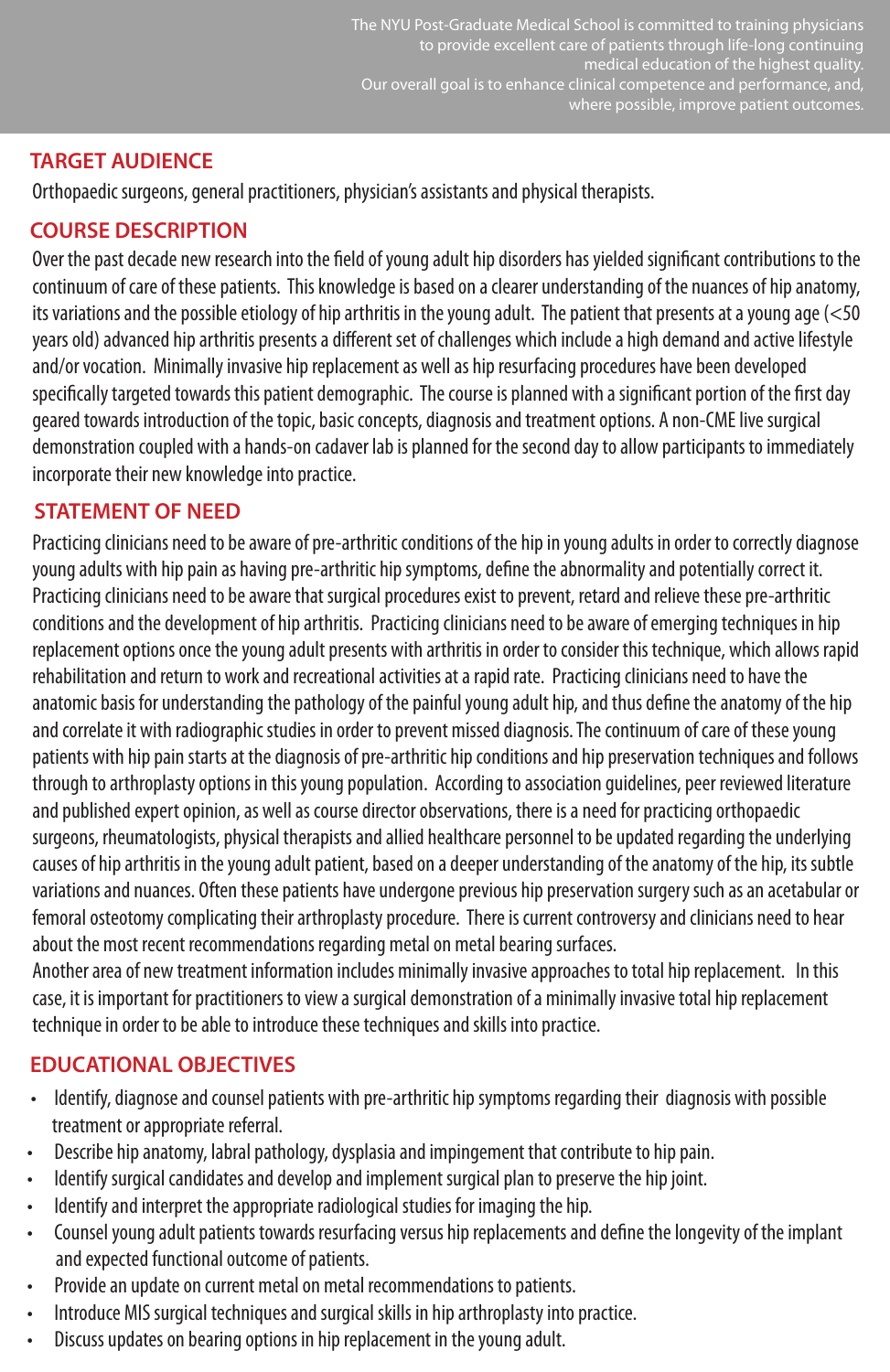### **TARGET AUDIENCE**

Orthopaedic surgeons, general practitioners, physician's assistants and physical therapists.

### **COURSE DESCRIPTION**

Over the past decade new research into the field of young adult hip disorders has yielded significant contributions to the continuum of care of these patients. This knowledge is based on a clearer understanding of the nuances of hip anatomy, its variations and the possible etiology of hip arthritis in the young adult. The patient that presents at a young age (<50 years old) advanced hip arthritis presents a different set of challenges which include a high demand and active lifestyle and/or vocation. Minimally invasive hip replacement as well as hip resurfacing procedures have been developed specifically targeted towards this patient demographic. The course is planned with a significant portion of the first day geared towards introduction of the topic, basic concepts, diagnosis and treatment options. A non-CME live surgical demonstration coupled with a hands-on cadaver lab is planned for the second day to allow participants to immediately incorporate their new knowledge into practice.

### **STATEMENT OF NEED**

Practicing clinicians need to be aware of pre-arthritic conditions of the hip in young adults in order to correctly diagnose young adults with hip pain as having pre-arthritic hip symptoms, define the abnormality and potentially correct it. Practicing clinicians need to be aware that surgical procedures exist to prevent, retard and relieve these pre-arthritic conditions and the development of hip arthritis. Practicing clinicians need to be aware of emerging techniques in hip replacement options once the young adult presents with arthritis in order to consider this technique, which allows rapid rehabilitation and return to work and recreational activities at a rapid rate. Practicing clinicians need to have the anatomic basis for understanding the pathology of the painful young adult hip, and thus define the anatomy of the hip and correlate it with radiographic studies in order to prevent missed diagnosis. The continuum of care of these young patients with hip pain starts at the diagnosis of pre-arthritic hip conditions and hip preservation techniques and follows through to arthroplasty options in this young population. According to association guidelines, peer reviewed literature and published expert opinion, as well as course director observations, there is a need for practicing orthopaedic surgeons, rheumatologists, physical therapists and allied healthcare personnel to be updated regarding the underlying causes of hip arthritis in the young adult patient, based on a deeper understanding of the anatomy of the hip, its subtle variations and nuances. Often these patients have undergone previous hip preservation surgery such as an acetabular or femoral osteotomy complicating their arthroplasty procedure. There is current controversy and clinicians need to hear about the most recent recommendations regarding metal on metal bearing surfaces.

Another area of new treatment information includes minimally invasive approaches to total hip replacement. In this case, it is important for practitioners to view a surgical demonstration of a minimally invasive total hip replacement technique in order to be able to introduce these techniques and skills into practice.

### **EDUCATIONAL OBJECTIVES**

- Identify, diagnose and counsel patients with pre-arthritic hip symptoms regarding their diagnosis with possible treatment or appropriate referral.
- Describe hip anatomy, labral pathology, dysplasia and impingement that contribute to hip pain.
- Identify surgical candidates and develop and implement surgical plan to preserve the hip joint.
- Identify and interpret the appropriate radiological studies for imaging the hip.
- Counsel young adult patients towards resurfacing versus hip replacements and define the longevity of the implant and expected functional outcome of patients.
- Provide an update on current metal on metal recommendations to patients.
- Introduce MIS surgical techniques and surgical skills in hip arthroplasty into practice.
- Discuss updates on bearing options in hip replacement in the young adult.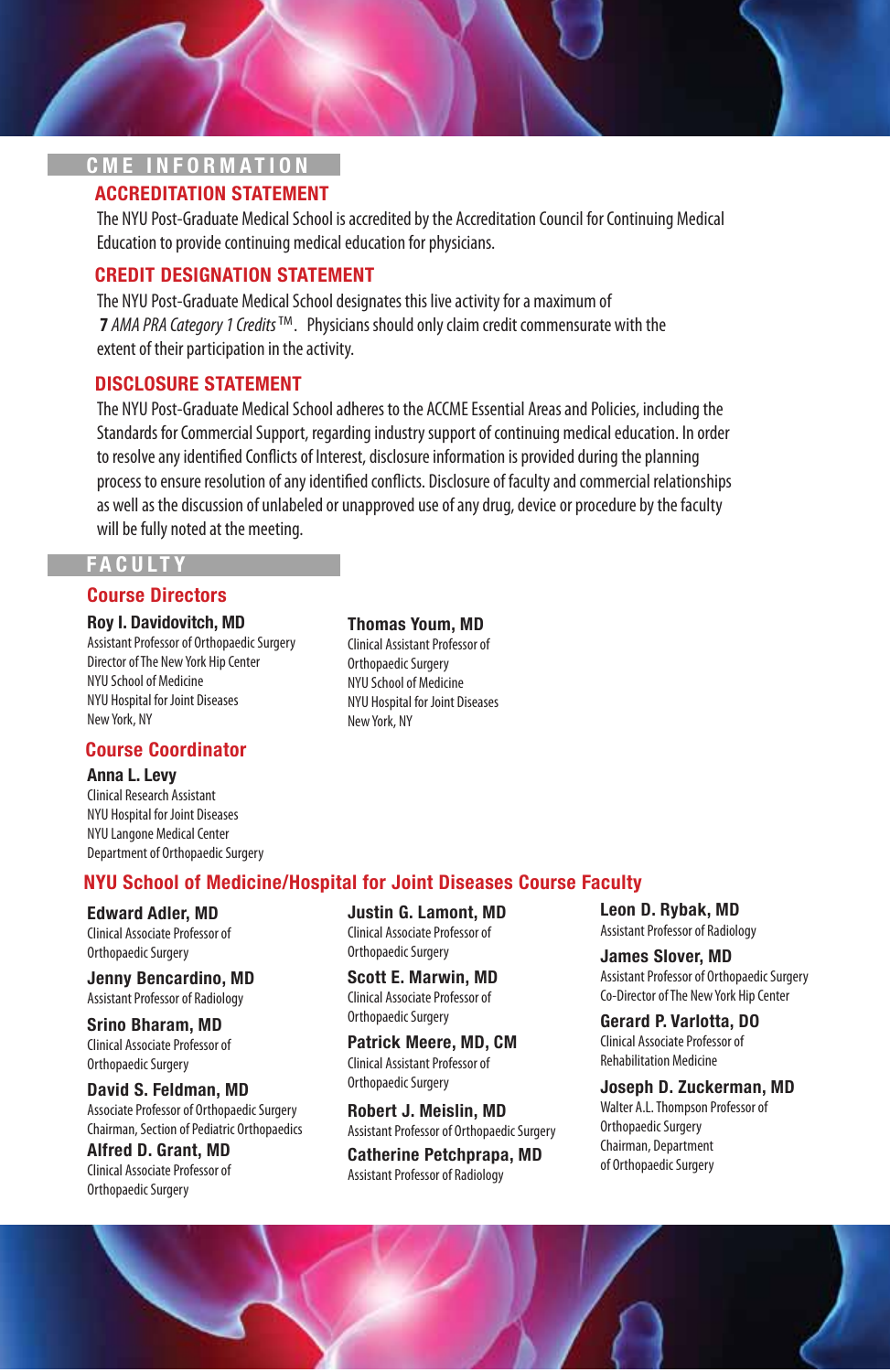### **C M E I N F O R M A T I O N**

### **ACCREDITATION STATEMENT**

The NYU Post-Graduate Medical School is accredited by the Accreditation Council for Continuing Medical Education to provide continuing medical education for physicians.

### **CREDIT DESIGNATION STATEMENT**

The NYU Post-Graduate Medical School designates this live activity for a maximum of **7** AMA PRA Category 1 Credits ™. Physicians should only claim credit commensurate with the extent of their participation in the activity.

### **DISCLOSURE STATEMENT**

The NYU Post-Graduate Medical School adheres to the ACCME Essential Areas and Policies, including the Standards for Commercial Support, regarding industry support of continuing medical education. In order to resolve any identified Conflicts of Interest, disclosure information is provided during the planning process to ensure resolution of any identified conflicts. Disclosure of faculty and commercial relationships as well as the discussion of unlabeled or unapproved use of any drug, device or procedure by the faculty will be fully noted at the meeting.

### **F A C U LT Y**

### **Course Directors**

### **Roy I. Davidovitch, MD**

Assistant Professor of Orthopaedic Surgery Director of The New York Hip Center NYU School of Medicine NYU Hospital for Joint Diseases New York, NY

### **Course Coordinator**

### **Anna L. Levy**

Clinical Research Assistant NYU Hospital for Joint Diseases NYU Langone Medical Center Department of Orthopaedic Surgery

### **Thomas Youm, MD**

Clinical Assistant Professor of Orthopaedic Surgery NYU School of Medicine NYU Hospital for Joint Diseases New York, NY

### **NYU School of Medicine/Hospital for Joint Diseases Course Faculty**

**Edward Adler, MD** Clinical Associate Professor of Orthopaedic Surgery

**Jenny Bencardino, MD** Assistant Professor of Radiology

**Srino Bharam, MD** Clinical Associate Professor of Orthopaedic Surgery

**David S. Feldman, MD** Associate Professor of Orthopaedic Surgery Chairman, Section of Pediatric Orthopaedics

**Alfred D. Grant, MD** Clinical Associate Professor of Orthopaedic Surgery

**Justin G. Lamont, MD** Clinical Associate Professor of Orthopaedic Surgery

**Scott E. Marwin, MD** Clinical Associate Professor of Orthopaedic Surgery

**Patrick Meere, MD, CM** Clinical Assistant Professor of Orthopaedic Surgery

**Robert J. Meislin, MD** Assistant Professor of Orthopaedic Surgery

**Catherine Petchprapa, MD** Assistant Professor of Radiology

**Leon D. Rybak, MD** Assistant Professor of Radiology

**James Slover, MD**  Assistant Professor of Orthopaedic Surgery Co-Director of The New York Hip Center

**Gerard P. Varlotta, DO** Clinical Associate Professor of Rehabilitation Medicine

### **Joseph D. Zuckerman, MD** Walter A.L. Thompson Professor of Orthopaedic Surgery Chairman, Department of Orthopaedic Surgery

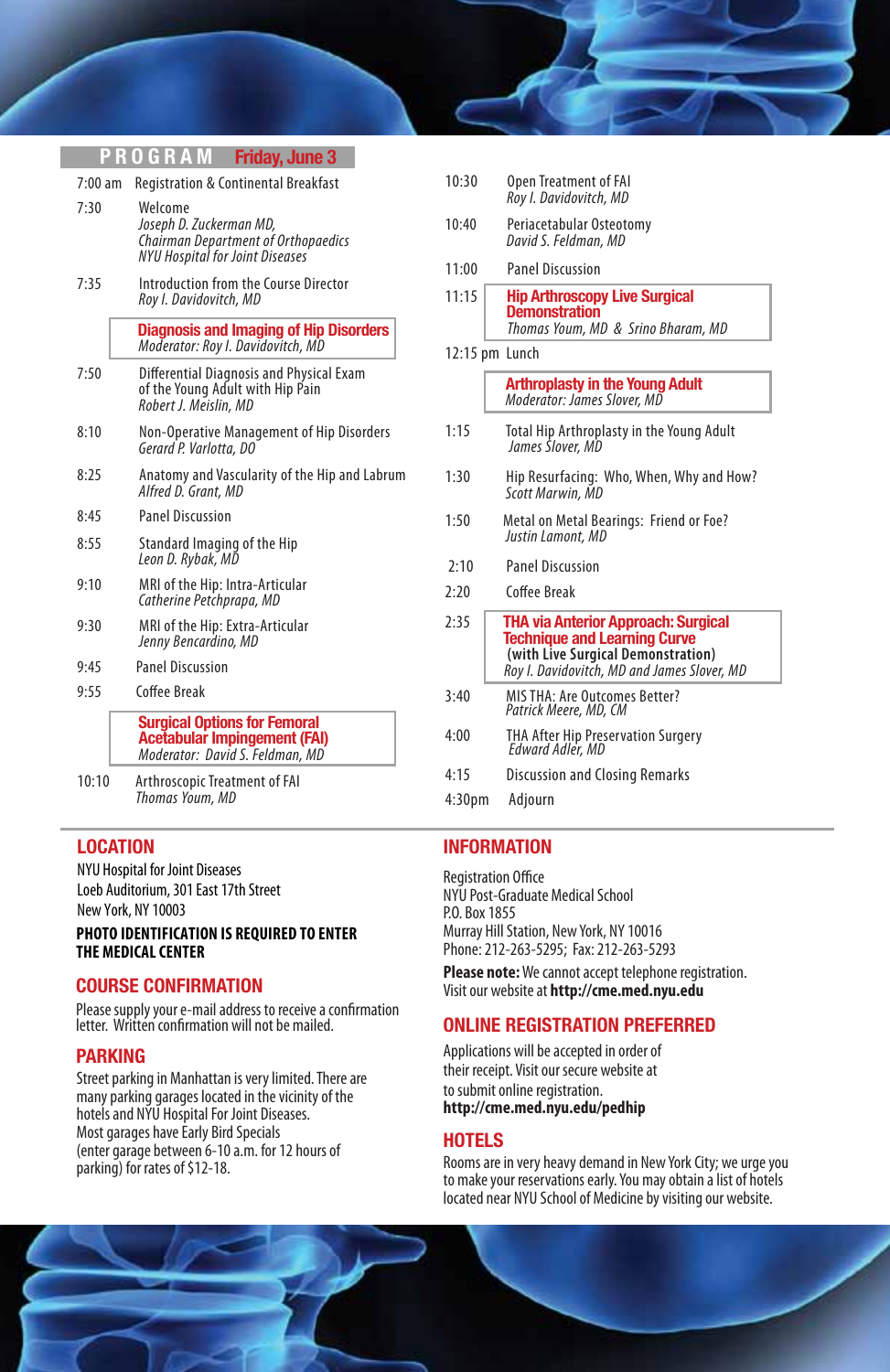

| $7:00$ am | <b>Registration &amp; Continental Breakfast</b>                                                                     |
|-----------|---------------------------------------------------------------------------------------------------------------------|
| 7:30      | Welcome<br>Joseph D. Zuckerman MD,<br><b>Chairman Department of Orthopaedics</b><br>NYU Hospital for Joint Diseases |
| 7:35      | Introduction from the Course Director<br>Roy I. Davidovitch, MD                                                     |
|           | <b>Diagnosis and Imaging of Hip Disorders</b><br>Moderator: Roy I. Davidovitch, MD                                  |
| 7:50      | Differential Diagnosis and Physical Exam<br>of the Young Adult with Hip Pain<br>Robert J. Meislin, MD               |
| 8:10      | Non-Operative Management of Hip Disorders<br>Gerard P. Varlotta, DO                                                 |
| 8:25      | Anatomy and Vascularity of the Hip and Labrum<br>Alfred D. Grant, MD                                                |
| 8:45      | <b>Panel Discussion</b>                                                                                             |
| 8:55      | Standard Imaging of the Hip<br>Leon D. Rybak, MD                                                                    |
| 9:10      | MRI of the Hip: Intra-Articular<br>Catherine Petchprapa, MD                                                         |
| 9:30      | MRI of the Hip: Extra-Articular<br>Jenny Bencardino, MD                                                             |
| 9:45      | <b>Panel Discussion</b>                                                                                             |
| 9:55      | Coffee Break                                                                                                        |
|           | <b>Surgical Options for Femoral</b><br><b>Acetabular Impingement (FAI)</b><br>Moderator: David S. Feldman, MD       |
| 10:10     | Arthroscopic Treatment of FAI                                                                                       |

10:10 Arthroscopic Treatment of FAI *Thomas Youm, MD*

### j **LOCATION**

NYU Hospital for Joint Diseases Loeb Auditorium, 301 East 17th Street New York, NY 10003 **PHOTO IDENTIFICATION IS REQUIRED TO ENTER THE MEDICAL CENTER**

Please supply your e-mail address to receive a confirmation letter. Written confirmation will not be mailed.

### **PARKING**

Street parking in Manhattan is very limited. There are many parking garages located in the vicinity of the hotels and NYU Hospital For Joint Diseases. Most garages have Early Bird Specials (enter garage between 6-10 a.m. for 12 hours of parking) for rates of \$12-18.

- 10:30 Open Treatment of FAI *Roy I. Davidovitch, MD*
- 10:40 Periacetabular Osteotomy  *David S. Feldman, MD*
- 11:00 Panel Discussion
- 11:15 **Hip Arthroscopy Live Surgical Demonstration** *Thomas Youm, MD & Srino Bharam, MD*
- 12:15 pm Lunch

 **Arthroplasty in the Young Adult**  *Moderator: James Slover, MD*

- 1:15 Total Hip Arthroplasty in the Young Adult *James Slover, MD*
- 1:30 Hip Resurfacing: Who, When, Why and How?  *Scott Marwin, MD*
- 1:50 Metal on Metal Bearings: Friend or Foe?  *Justin Lamont, MD*
- 2:10 Panel Discussion
- 2:20 Coffee Break
- 2:35 **THA via Anterior Approach: Surgical Technique and Learning Curve (with Live Surgical Demonstration)** *Roy I. Davidovitch, MD and James Slover, MD*
- 3:40 MIS THA: Are Outcomes Better? *Patrick Meere, MD, CM*
- 4:00 THA After Hip Preservation Surgery *Edward Adler, MD*
- 4:15 Discussion and Closing Remarks
- 4:30pm Adjourn

### **INFORMATION**

**Registration Office** F I NYU Post-Graduate Medical School P.O. Box 1855 Murray Hill Station, New York, NY 10016 Phone: 212-263-5295; Fax: 212-263-5293

l ĺ **Please note:** We cannot accept telephone registration. **COURSE CONFIRMATION** Visit our website at **http://cme.med.nyu.edu**

### í **ONLINE REGISTRATION PREFERRED**

Applications will be accepted in order of their receipt. Visit our secure website at to submit online registration. **http://cme.med.nyu.edu/pedhip**

### **HOTELS**

Rooms are in very heavy demand in New York City; we urge you to make your reservations early. You may obtain a list of hotels located near NYU School of Medicine by visiting our website.